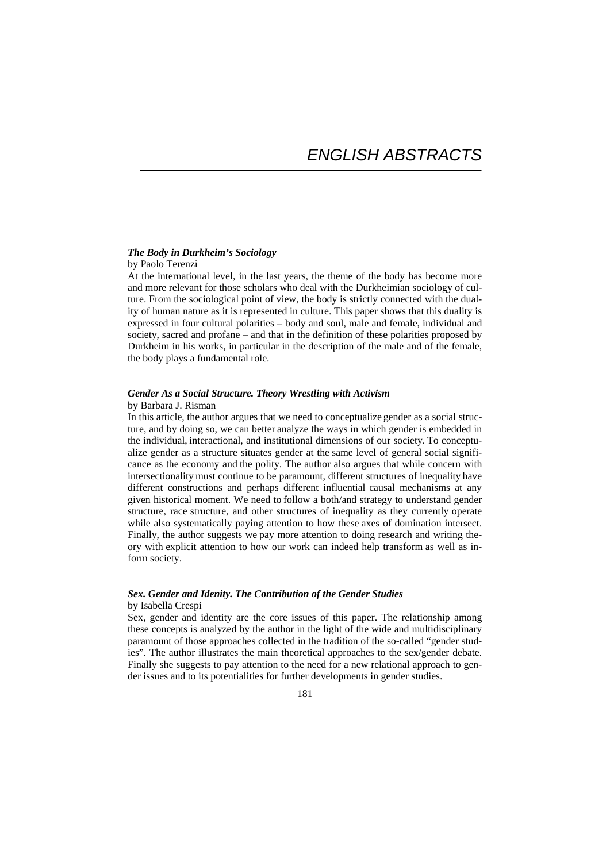# *The Body in Durkheim's Sociology*

## by Paolo Terenzi

At the international level, in the last years, the theme of the body has become more and more relevant for those scholars who deal with the Durkheimian sociology of culture. From the sociological point of view, the body is strictly connected with the duality of human nature as it is represented in culture. This paper shows that this duality is expressed in four cultural polarities – body and soul, male and female, individual and society, sacred and profane – and that in the definition of these polarities proposed by Durkheim in his works, in particular in the description of the male and of the female, the body plays a fundamental role.

# *Gender As a Social Structure. Theory Wrestling with Activism*

#### by Barbara J. Risman

In this article, the author argues that we need to conceptualize gender as a social structure, and by doing so, we can better analyze the ways in which gender is embedded in the individual, interactional, and institutional dimensions of our society. To conceptualize gender as a structure situates gender at the same level of general social significance as the economy and the polity. The author also argues that while concern with intersectionality must continue to be paramount, different structures of inequality have different constructions and perhaps different influential causal mechanisms at any given historical moment. We need to follow a both/and strategy to understand gender structure, race structure, and other structures of inequality as they currently operate while also systematically paying attention to how these axes of domination intersect. Finally, the author suggests we pay more attention to doing research and writing theory with explicit attention to how our work can indeed help transform as well as inform society.

### *Sex. Gender and Idenity. The Contribution of the Gender Studies*  by Isabella Crespi

Sex, gender and identity are the core issues of this paper. The relationship among these concepts is analyzed by the author in the light of the wide and multidisciplinary paramount of those approaches collected in the tradition of the so-called "gender studies". The author illustrates the main theoretical approaches to the sex/gender debate. Finally she suggests to pay attention to the need for a new relational approach to gender issues and to its potentialities for further developments in gender studies.